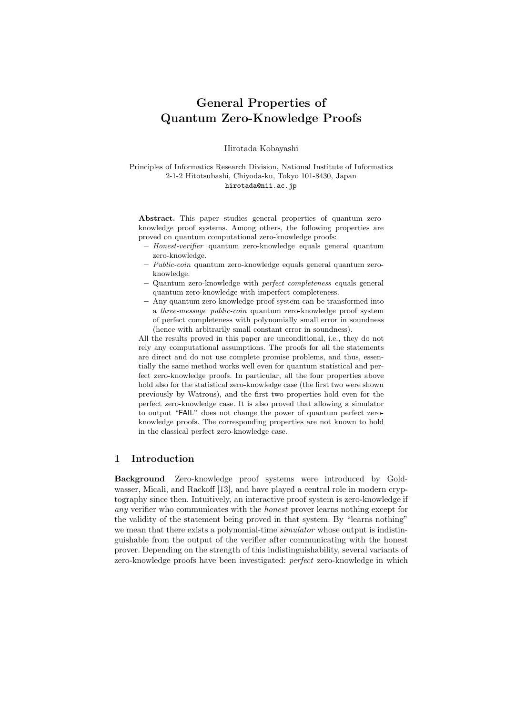# General Properties of Quantum Zero-Knowledge Proofs

Hirotada Kobayashi

## Principles of Informatics Research Division, National Institute of Informatics 2-1-2 Hitotsubashi, Chiyoda-ku, Tokyo 101-8430, Japan hirotada@nii.ac.jp

Abstract. This paper studies general properties of quantum zeroknowledge proof systems. Among others, the following properties are proved on quantum computational zero-knowledge proofs:

- Honest-verifier quantum zero-knowledge equals general quantum zero-knowledge.
- $-$  *Public-coin* quantum zero-knowledge equals general quantum zeroknowledge.
- Quantum zero-knowledge with perfect completeness equals general quantum zero-knowledge with imperfect completeness.
- Any quantum zero-knowledge proof system can be transformed into a three-message public-coin quantum zero-knowledge proof system of perfect completeness with polynomially small error in soundness (hence with arbitrarily small constant error in soundness).

All the results proved in this paper are unconditional, i.e., they do not rely any computational assumptions. The proofs for all the statements are direct and do not use complete promise problems, and thus, essentially the same method works well even for quantum statistical and perfect zero-knowledge proofs. In particular, all the four properties above hold also for the statistical zero-knowledge case (the first two were shown previously by Watrous), and the first two properties hold even for the perfect zero-knowledge case. It is also proved that allowing a simulator to output "FAIL" does not change the power of quantum perfect zeroknowledge proofs. The corresponding properties are not known to hold in the classical perfect zero-knowledge case.

## 1 Introduction

Background Zero-knowledge proof systems were introduced by Goldwasser, Micali, and Rackoff [13], and have played a central role in modern cryptography since then. Intuitively, an interactive proof system is zero-knowledge if any verifier who communicates with the honest prover learns nothing except for the validity of the statement being proved in that system. By "learns nothing" we mean that there exists a polynomial-time *simulator* whose output is indistinguishable from the output of the verifier after communicating with the honest prover. Depending on the strength of this indistinguishability, several variants of zero-knowledge proofs have been investigated: *perfect* zero-knowledge in which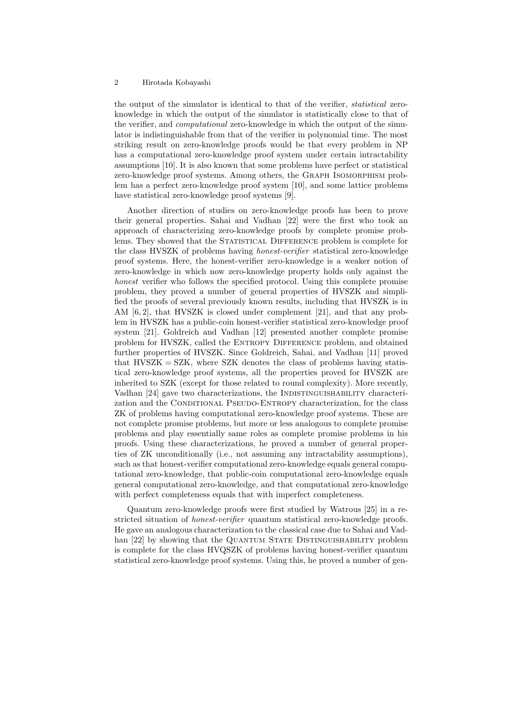the output of the simulator is identical to that of the verifier, statistical zeroknowledge in which the output of the simulator is statistically close to that of the verifier, and *computational* zero-knowledge in which the output of the simulator is indistinguishable from that of the verifier in polynomial time. The most striking result on zero-knowledge proofs would be that every problem in NP has a computational zero-knowledge proof system under certain intractability assumptions [10]. It is also known that some problems have perfect or statistical zero-knowledge proof systems. Among others, the Graph Isomorphism problem has a perfect zero-knowledge proof system [10], and some lattice problems have statistical zero-knowledge proof systems [9].

Another direction of studies on zero-knowledge proofs has been to prove their general properties. Sahai and Vadhan [22] were the first who took an approach of characterizing zero-knowledge proofs by complete promise problems. They showed that the STATISTICAL DIFFERENCE problem is complete for the class HVSZK of problems having honest-verifier statistical zero-knowledge proof systems. Here, the honest-verifier zero-knowledge is a weaker notion of zero-knowledge in which now zero-knowledge property holds only against the honest verifier who follows the specified protocol. Using this complete promise problem, they proved a number of general properties of HVSZK and simplified the proofs of several previously known results, including that HVSZK is in AM [6, 2], that HVSZK is closed under complement [21], and that any problem in HVSZK has a public-coin honest-verifier statistical zero-knowledge proof system [21]. Goldreich and Vadhan [12] presented another complete promise problem for HVSZK, called the Entropy Difference problem, and obtained further properties of HVSZK. Since Goldreich, Sahai, and Vadhan [11] proved that  $HVSZK = SZK$ , where SZK denotes the class of problems having statistical zero-knowledge proof systems, all the properties proved for HVSZK are inherited to SZK (except for those related to round complexity). More recently, Vadhan [24] gave two characterizations, the INDISTINGUISHABILITY characterization and the CONDITIONAL PSEUDO-ENTROPY characterization, for the class ZK of problems having computational zero-knowledge proof systems. These are not complete promise problems, but more or less analogous to complete promise problems and play essentially same roles as complete promise problems in his proofs. Using these characterizations, he proved a number of general properties of ZK unconditionally (i.e., not assuming any intractability assumptions), such as that honest-verifier computational zero-knowledge equals general computational zero-knowledge, that public-coin computational zero-knowledge equals general computational zero-knowledge, and that computational zero-knowledge with perfect completeness equals that with imperfect completeness.

Quantum zero-knowledge proofs were first studied by Watrous [25] in a restricted situation of honest-verifier quantum statistical zero-knowledge proofs. He gave an analogous characterization to the classical case due to Sahai and Vadhan [22] by showing that the QUANTUM STATE DISTINGUISHABILITY problem is complete for the class HVQSZK of problems having honest-verifier quantum statistical zero-knowledge proof systems. Using this, he proved a number of gen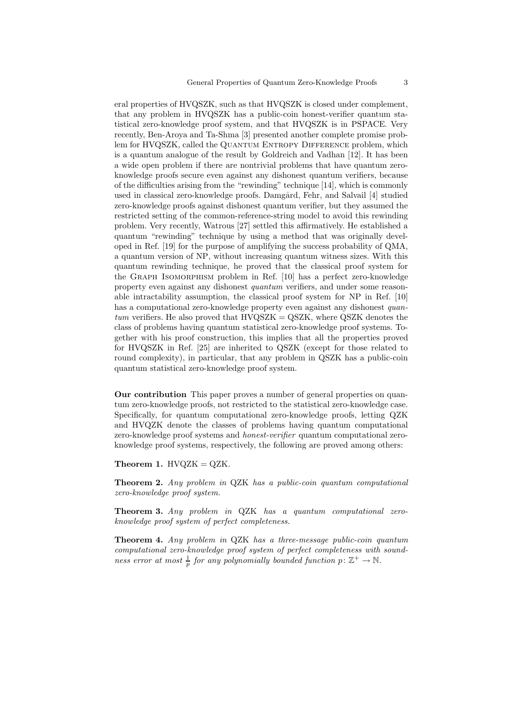eral properties of HVQSZK, such as that HVQSZK is closed under complement, that any problem in HVQSZK has a public-coin honest-verifier quantum statistical zero-knowledge proof system, and that HVQSZK is in PSPACE. Very recently, Ben-Aroya and Ta-Shma [3] presented another complete promise problem for HVQSZK, called the QUANTUM ENTROPY DIFFERENCE problem, which is a quantum analogue of the result by Goldreich and Vadhan [12]. It has been a wide open problem if there are nontrivial problems that have quantum zeroknowledge proofs secure even against any dishonest quantum verifiers, because of the difficulties arising from the "rewinding" technique [14], which is commonly used in classical zero-knowledge proofs. Damgård, Fehr, and Salvail [4] studied zero-knowledge proofs against dishonest quantum verifier, but they assumed the restricted setting of the common-reference-string model to avoid this rewinding problem. Very recently, Watrous [27] settled this affirmatively. He established a quantum "rewinding" technique by using a method that was originally developed in Ref. [19] for the purpose of amplifying the success probability of QMA, a quantum version of NP, without increasing quantum witness sizes. With this quantum rewinding technique, he proved that the classical proof system for the Graph Isomorphism problem in Ref. [10] has a perfect zero-knowledge property even against any dishonest quantum verifiers, and under some reasonable intractability assumption, the classical proof system for NP in Ref. [10] has a computational zero-knowledge property even against any dishonest quan $tum$  verifiers. He also proved that  $HVQSZK = QSZK$ , where  $QSZK$  denotes the class of problems having quantum statistical zero-knowledge proof systems. Together with his proof construction, this implies that all the properties proved for HVQSZK in Ref. [25] are inherited to QSZK (except for those related to round complexity), in particular, that any problem in QSZK has a public-coin quantum statistical zero-knowledge proof system.

Our contribution This paper proves a number of general properties on quantum zero-knowledge proofs, not restricted to the statistical zero-knowledge case. Specifically, for quantum computational zero-knowledge proofs, letting QZK and HVQZK denote the classes of problems having quantum computational zero-knowledge proof systems and *honest-verifier* quantum computational zeroknowledge proof systems, respectively, the following are proved among others:

Theorem 1.  $HVQZK = QZK$ .

**Theorem 2.** Any problem in  $QZK$  has a public-coin quantum computational zero-knowledge proof system.

Theorem 3. Any problem in QZK has a quantum computational zeroknowledge proof system of perfect completeness.

Theorem 4. Any problem in QZK has a three-message public-coin quantum computational zero-knowledge proof system of perfect completeness with soundness error at most  $\frac{1}{p}$  for any polynomially bounded function  $p: \mathbb{Z}^+ \to \mathbb{N}$ .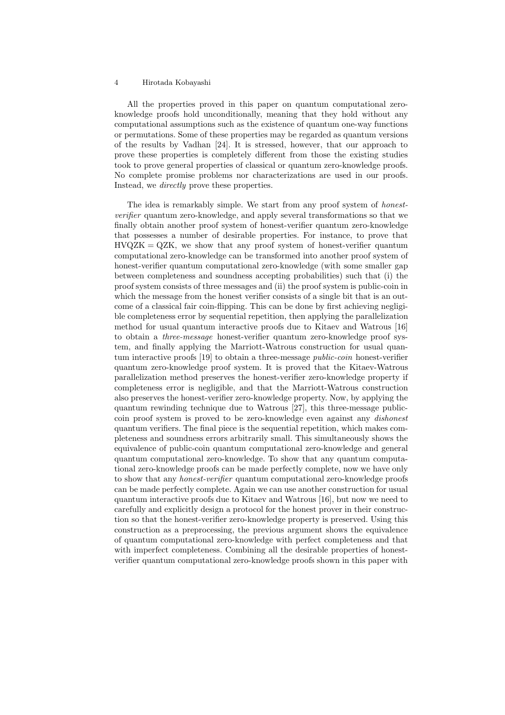All the properties proved in this paper on quantum computational zeroknowledge proofs hold unconditionally, meaning that they hold without any computational assumptions such as the existence of quantum one-way functions or permutations. Some of these properties may be regarded as quantum versions of the results by Vadhan [24]. It is stressed, however, that our approach to prove these properties is completely different from those the existing studies took to prove general properties of classical or quantum zero-knowledge proofs. No complete promise problems nor characterizations are used in our proofs. Instead, we directly prove these properties.

The idea is remarkably simple. We start from any proof system of honestverifier quantum zero-knowledge, and apply several transformations so that we finally obtain another proof system of honest-verifier quantum zero-knowledge that possesses a number of desirable properties. For instance, to prove that  $HVQZK = QZK$ , we show that any proof system of honest-verifier quantum computational zero-knowledge can be transformed into another proof system of honest-verifier quantum computational zero-knowledge (with some smaller gap between completeness and soundness accepting probabilities) such that (i) the proof system consists of three messages and (ii) the proof system is public-coin in which the message from the honest verifier consists of a single bit that is an outcome of a classical fair coin-flipping. This can be done by first achieving negligible completeness error by sequential repetition, then applying the parallelization method for usual quantum interactive proofs due to Kitaev and Watrous [16] to obtain a three-message honest-verifier quantum zero-knowledge proof system, and finally applying the Marriott-Watrous construction for usual quantum interactive proofs [19] to obtain a three-message *public-coin* honest-verifier quantum zero-knowledge proof system. It is proved that the Kitaev-Watrous parallelization method preserves the honest-verifier zero-knowledge property if completeness error is negligible, and that the Marriott-Watrous construction also preserves the honest-verifier zero-knowledge property. Now, by applying the quantum rewinding technique due to Watrous [27], this three-message publiccoin proof system is proved to be zero-knowledge even against any dishonest quantum verifiers. The final piece is the sequential repetition, which makes completeness and soundness errors arbitrarily small. This simultaneously shows the equivalence of public-coin quantum computational zero-knowledge and general quantum computational zero-knowledge. To show that any quantum computational zero-knowledge proofs can be made perfectly complete, now we have only to show that any honest-verifier quantum computational zero-knowledge proofs can be made perfectly complete. Again we can use another construction for usual quantum interactive proofs due to Kitaev and Watrous [16], but now we need to carefully and explicitly design a protocol for the honest prover in their construction so that the honest-verifier zero-knowledge property is preserved. Using this construction as a preprocessing, the previous argument shows the equivalence of quantum computational zero-knowledge with perfect completeness and that with imperfect completeness. Combining all the desirable properties of honestverifier quantum computational zero-knowledge proofs shown in this paper with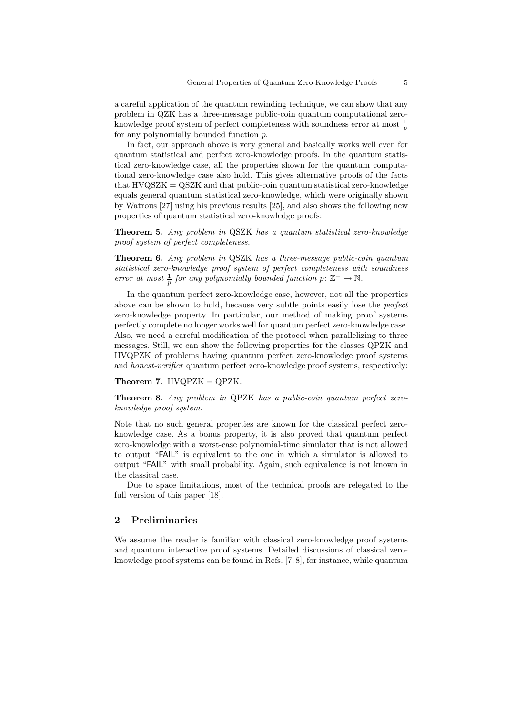a careful application of the quantum rewinding technique, we can show that any problem in QZK has a three-message public-coin quantum computational zeroknowledge proof system of perfect completeness with soundness error at most  $\frac{1}{p}$ for any polynomially bounded function p.

In fact, our approach above is very general and basically works well even for quantum statistical and perfect zero-knowledge proofs. In the quantum statistical zero-knowledge case, all the properties shown for the quantum computational zero-knowledge case also hold. This gives alternative proofs of the facts that  $HVQSZK = QSZK$  and that public-coin quantum statistical zero-knowledge equals general quantum statistical zero-knowledge, which were originally shown by Watrous [27] using his previous results [25], and also shows the following new properties of quantum statistical zero-knowledge proofs:

Theorem 5. Any problem in QSZK has a quantum statistical zero-knowledge proof system of perfect completeness.

Theorem 6. Any problem in QSZK has a three-message public-coin quantum statistical zero-knowledge proof system of perfect completeness with soundness error at most  $\frac{1}{p}$  for any polynomially bounded function  $p: \mathbb{Z}^+ \to \mathbb{N}$ .

In the quantum perfect zero-knowledge case, however, not all the properties above can be shown to hold, because very subtle points easily lose the perfect zero-knowledge property. In particular, our method of making proof systems perfectly complete no longer works well for quantum perfect zero-knowledge case. Also, we need a careful modification of the protocol when parallelizing to three messages. Still, we can show the following properties for the classes QPZK and HVQPZK of problems having quantum perfect zero-knowledge proof systems and honest-verifier quantum perfect zero-knowledge proof systems, respectively:

# Theorem 7.  $HVQPZK = QPZK$ .

Theorem 8. Any problem in QPZK has a public-coin quantum perfect zeroknowledge proof system.

Note that no such general properties are known for the classical perfect zeroknowledge case. As a bonus property, it is also proved that quantum perfect zero-knowledge with a worst-case polynomial-time simulator that is not allowed to output "FAIL" is equivalent to the one in which a simulator is allowed to output "FAIL" with small probability. Again, such equivalence is not known in the classical case.

Due to space limitations, most of the technical proofs are relegated to the full version of this paper [18].

## 2 Preliminaries

We assume the reader is familiar with classical zero-knowledge proof systems and quantum interactive proof systems. Detailed discussions of classical zeroknowledge proof systems can be found in Refs. [7, 8], for instance, while quantum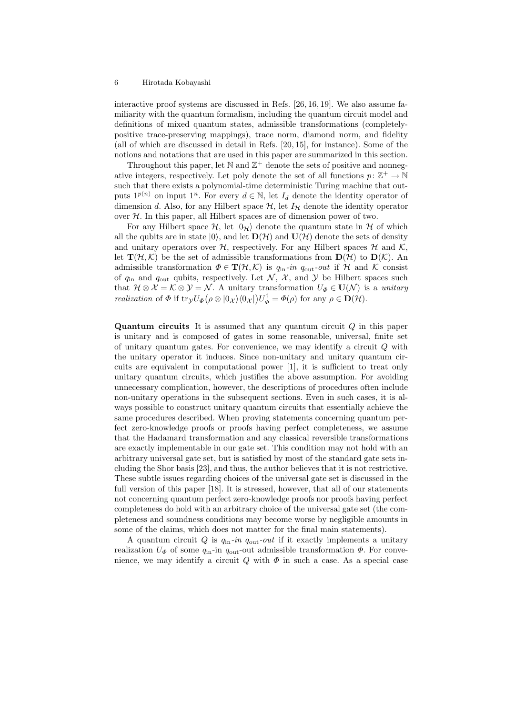interactive proof systems are discussed in Refs. [26, 16, 19]. We also assume familiarity with the quantum formalism, including the quantum circuit model and definitions of mixed quantum states, admissible transformations (completelypositive trace-preserving mappings), trace norm, diamond norm, and fidelity (all of which are discussed in detail in Refs. [20, 15], for instance). Some of the notions and notations that are used in this paper are summarized in this section.

Throughout this paper, let  $\mathbb N$  and  $\mathbb Z^+$  denote the sets of positive and nonnegative integers, respectively. Let poly denote the set of all functions  $p: \mathbb{Z}^+ \to \mathbb{N}$ such that there exists a polynomial-time deterministic Turing machine that outputs  $1^{p(n)}$  on input  $1^n$ . For every  $d \in \mathbb{N}$ , let  $I_d$  denote the identity operator of dimension d. Also, for any Hilbert space  $H$ , let  $I_H$  denote the identity operator over  $H$ . In this paper, all Hilbert spaces are of dimension power of two.

For any Hilbert space  $H$ , let  $|0_{\mathcal{H}}\rangle$  denote the quantum state in H of which all the qubits are in state  $|0\rangle$ , and let  $\mathbf{D}(\mathcal{H})$  and  $\mathbf{U}(\mathcal{H})$  denote the sets of density and unitary operators over  $H$ , respectively. For any Hilbert spaces  $H$  and  $K$ , let  $\mathbf{T}(\mathcal{H},\mathcal{K})$  be the set of admissible transformations from  $\mathbf{D}(\mathcal{H})$  to  $\mathbf{D}(\mathcal{K})$ . An admissible transformation  $\Phi \in \mathbf{T}(\mathcal{H},\mathcal{K})$  is  $q_{\text{in}}$ -in  $q_{\text{out}}$ -out if  $\mathcal{H}$  and  $\mathcal{K}$  consist of  $q_{\text{in}}$  and  $q_{\text{out}}$  qubits, respectively. Let N, X, and Y be Hilbert spaces such that  $\mathcal{H} \otimes \mathcal{X} = \mathcal{K} \otimes \mathcal{Y} = \mathcal{N}$ . A unitary transformation  $U_{\Phi} \in \mathbf{U}(\mathcal{N})$  is a unitary *realization* of  $\Phi$  if  $\text{tr}_{\mathcal{Y}}U_{\Phi}(\rho \otimes |0_{\mathcal{X}}\rangle\langle0_{\mathcal{X}}|)U_{\Phi}^{\dagger} = \Phi(\rho)$  for any  $\rho \in \mathbf{D}(\mathcal{H})$ .

**Quantum circuits** It is assumed that any quantum circuit  $Q$  in this paper is unitary and is composed of gates in some reasonable, universal, finite set of unitary quantum gates. For convenience, we may identify a circuit  $Q$  with the unitary operator it induces. Since non-unitary and unitary quantum circuits are equivalent in computational power [1], it is sufficient to treat only unitary quantum circuits, which justifies the above assumption. For avoiding unnecessary complication, however, the descriptions of procedures often include non-unitary operations in the subsequent sections. Even in such cases, it is always possible to construct unitary quantum circuits that essentially achieve the same procedures described. When proving statements concerning quantum perfect zero-knowledge proofs or proofs having perfect completeness, we assume that the Hadamard transformation and any classical reversible transformations are exactly implementable in our gate set. This condition may not hold with an arbitrary universal gate set, but is satisfied by most of the standard gate sets including the Shor basis [23], and thus, the author believes that it is not restrictive. These subtle issues regarding choices of the universal gate set is discussed in the full version of this paper [18]. It is stressed, however, that all of our statements not concerning quantum perfect zero-knowledge proofs nor proofs having perfect completeness do hold with an arbitrary choice of the universal gate set (the completeness and soundness conditions may become worse by negligible amounts in some of the claims, which does not matter for the final main statements).

A quantum circuit Q is  $q_{\text{in}}$ -in  $q_{\text{out}}$ -out if it exactly implements a unitary realization  $U_{\Phi}$  of some  $q_{\text{in}}$ -in  $q_{\text{out}}$ -out admissible transformation  $\Phi$ . For convenience, we may identify a circuit  $Q$  with  $\Phi$  in such a case. As a special case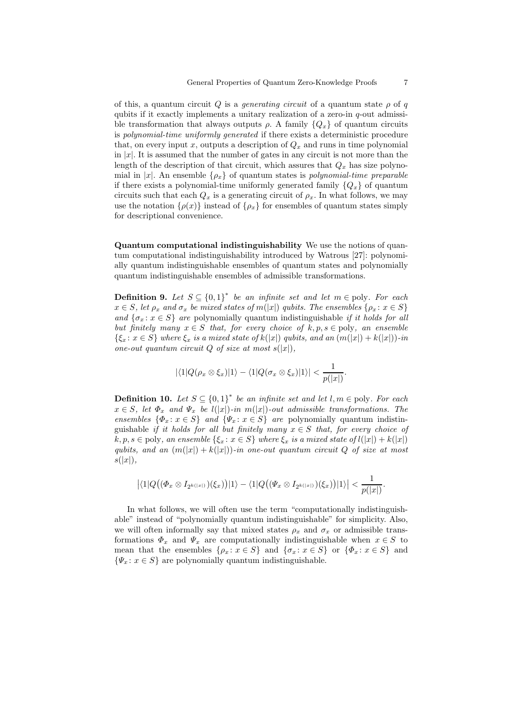of this, a quantum circuit Q is a *generating circuit* of a quantum state  $\rho$  of q qubits if it exactly implements a unitary realization of a zero-in  $q$ -out admissible transformation that always outputs  $\rho$ . A family  $\{Q_x\}$  of quantum circuits is polynomial-time uniformly generated if there exists a deterministic procedure that, on every input x, outputs a description of  $Q_x$  and runs in time polynomial in  $|x|$ . It is assumed that the number of gates in any circuit is not more than the length of the description of that circuit, which assures that  $Q_x$  has size polynomial in |x|. An ensemble  $\{\rho_x\}$  of quantum states is *polynomial-time preparable* if there exists a polynomial-time uniformly generated family  ${Q_x}$  of quantum circuits such that each  $Q_x$  is a generating circuit of  $\rho_x$ . In what follows, we may use the notation  $\{\rho(x)\}\$ instead of  $\{\rho_x\}$  for ensembles of quantum states simply for descriptional convenience.

Quantum computational indistinguishability We use the notions of quantum computational indistinguishability introduced by Watrous [27]: polynomially quantum indistinguishable ensembles of quantum states and polynomially quantum indistinguishable ensembles of admissible transformations.

**Definition 9.** Let  $S \subseteq \{0,1\}^*$  be an infinite set and let  $m \in \text{poly}$ . For each  $x \in S$ , let  $\rho_x$  and  $\sigma_x$  be mixed states of m(|x|) qubits. The ensembles  $\{\rho_x : x \in S\}$ and  $\{\sigma_x : x \in S\}$  are polynomially quantum indistinguishable if it holds for all but finitely many  $x \in S$  that, for every choice of  $k, p, s \in \text{poly}$ , an ensemble  $\{\xi_x : x \in S\}$  where  $\xi_x$  is a mixed state of  $k(|x|)$  qubits, and an  $(m(|x|) + k(|x|))$ -in one-out quantum circuit Q of size at most  $s(|x|)$ ,

$$
|\langle 1|Q(\rho_x \otimes \xi_x)|1\rangle - \langle 1|Q(\sigma_x \otimes \xi_x)|1\rangle| < \frac{1}{p(|x|)}.
$$

**Definition 10.** Let  $S \subseteq \{0,1\}^*$  be an infinite set and let  $l, m \in \text{poly}$ . For each  $x \in S$ , let  $\Phi_x$  and  $\Psi_x$  be  $l(|x|)$ -in  $m(|x|)$ -out admissible transformations. The ensembles  $\{\Phi_x : x \in S\}$  and  $\{\Psi_x : x \in S\}$  are polynomially quantum indistinguishable if it holds for all but finitely many  $x \in S$  that, for every choice of  $k, p, s \in \text{poly},$  an ensemble  $\{\xi_x : x \in S\}$  where  $\xi_x$  is a mixed state of  $l(|x|) + k(|x|)$ qubits, and an  $(m(|x|) + k(|x|))$ -in one-out quantum circuit Q of size at most  $s(|x|),$ 

$$
\big|\langle 1|Q\big((\varPhi_x\otimes I_{2^{k(|x|)}})(\xi_x)\big)|1\rangle-\langle 1|Q\big((\varPsi_x\otimes I_{2^{k(|x|)}})(\xi_x)\big)|1\rangle\big|<\frac{1}{p(|x|)}.
$$

In what follows, we will often use the term "computationally indistinguishable" instead of "polynomially quantum indistinguishable" for simplicity. Also, we will often informally say that mixed states  $\rho_x$  and  $\sigma_x$  or admissible transformations  $\Phi_x$  and  $\Psi_x$  are computationally indistinguishable when  $x \in S$  to mean that the ensembles  $\{\rho_x : x \in S\}$  and  $\{\sigma_x : x \in S\}$  or  $\{\Phi_x : x \in S\}$  and  $\{\Psi_x: x \in S\}$  are polynomially quantum indistinguishable.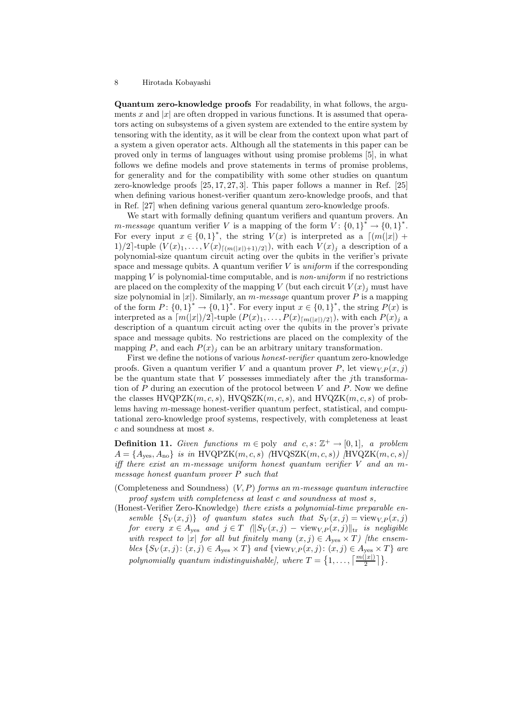Quantum zero-knowledge proofs For readability, in what follows, the arguments x and  $|x|$  are often dropped in various functions. It is assumed that operators acting on subsystems of a given system are extended to the entire system by tensoring with the identity, as it will be clear from the context upon what part of a system a given operator acts. Although all the statements in this paper can be proved only in terms of languages without using promise problems [5], in what follows we define models and prove statements in terms of promise problems, for generality and for the compatibility with some other studies on quantum zero-knowledge proofs [25, 17, 27, 3]. This paper follows a manner in Ref. [25] when defining various honest-verifier quantum zero-knowledge proofs, and that in Ref. [27] when defining various general quantum zero-knowledge proofs.

We start with formally defining quantum verifiers and quantum provers. An *m*-message quantum verifier *V* is a mapping of the form  $V: \{0,1\}^* \to \{0,1\}^*$ . For every input  $x \in \{0,1\}^*$ , the string  $V(x)$  is interpreted as a  $\lceil (m(|x|) +$ 1)/2]-tuple  $(V(x)_1,\ldots,V(x)_{\lceil (m(|x|)+1)/2\rceil})$ , with each  $V(x)_j$  a description of a polynomial-size quantum circuit acting over the qubits in the verifier's private space and message qubits. A quantum verifier  $V$  is *uniform* if the corresponding mapping  $V$  is polynomial-time computable, and is *non-uniform* if no restrictions are placed on the complexity of the mapping V (but each circuit  $V(x)$ <sub>i</sub> must have size polynomial in  $|x|$ ). Similarly, an m-message quantum prover P is a mapping of the form  $P: \{0,1\}^* \to \{0,1\}^*$ . For every input  $x \in \{0,1\}^*$ , the string  $P(x)$  is interpreted as a  $\lceil m(|x|)/2 \rceil$ -tuple  $(P(x)_1, \ldots, P(x)_{\lceil m(|x|)/2 \rceil})$ , with each  $P(x)_j$  a description of a quantum circuit acting over the qubits in the prover's private space and message qubits. No restrictions are placed on the complexity of the mapping P, and each  $P(x)$  can be an arbitrary unitary transformation.

First we define the notions of various honest-verifier quantum zero-knowledge proofs. Given a quantum verifier V and a quantum prover P, let view  $p(x, j)$ be the quantum state that  $V$  possesses immediately after the *j*th transformation of P during an execution of the protocol between V and P. Now we define the classes  $HVQPZK(m, c, s)$ ,  $HVQSZK(m, c, s)$ , and  $HVQZK(m, c, s)$  of problems having m-message honest-verifier quantum perfect, statistical, and computational zero-knowledge proof systems, respectively, with completeness at least c and soundness at most s.

**Definition 11.** Given functions  $m \in \text{poly}$  and  $c, s \colon \mathbb{Z}^+ \to [0, 1]$ , a problem  $A = \{A_{\text{ves}}, A_{\text{no}}\}$  is in HVQPZK $(m, c, s)$  (HVQSZK $(m, c, s)$ ) (HVQZK $(m, c, s)$ ) iff there exist an m-message uniform honest quantum verifier  $V$  and an mmessage honest quantum prover P such that

(Completeness and Soundness)  $(V, P)$  forms an m-message quantum interactive proof system with completeness at least c and soundness at most s,

(Honest-Verifier Zero-Knowledge) there exists a polynomial-time preparable ensemble  $\{S_V(x,j)\}\$  of quantum states such that  $S_V(x,j) = \text{view}_{V,P}(x,j)$ for every  $x \in A_{\text{yes}}$  and  $j \in T$  ( $||S_V(x, j) - \text{view}_{V,P}(x, j)||_{tr}$  is negligible with respect to |x| for all but finitely many  $(x, j) \in A_{\text{yes}} \times T$  [the ensembles  $\{S_V(x,j): (x,j) \in A_{\text{yes}} \times T\}$  and  $\{\text{view}_{V,P}(x,j): (x,j) \in A_{\text{yes}} \times T\}$  are polynomially quantum indistinguishable], where  $T = \left\{1, \ldots, \left\lceil \frac{m(|x|)}{2} \right\rceil \right\}$ .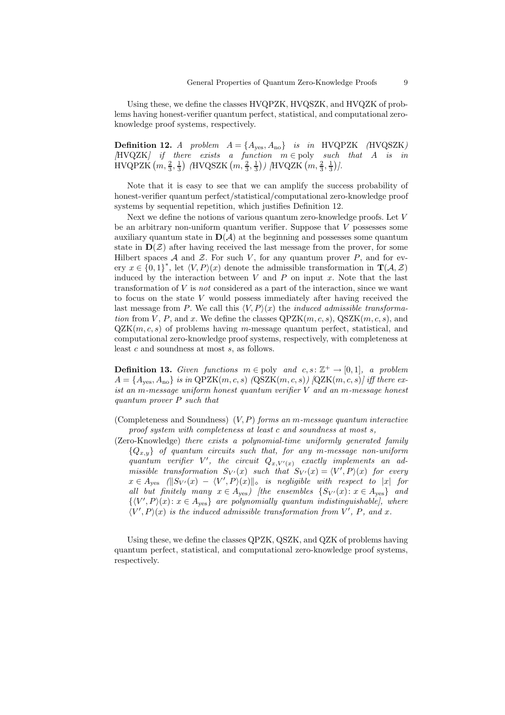Using these, we define the classes HVQPZK, HVQSZK, and HVQZK of problems having honest-verifier quantum perfect, statistical, and computational zeroknowledge proof systems, respectively.

**Definition 12.** A problem  $A = \{A_{\text{yes}}, A_{\text{no}}\}$  is in HVQPZK (HVQSZK)  $[HVQZK]$  if there exists a function  $m \in poly$  such that A is in  $HVQPZK(m, \frac{2}{3}, \frac{1}{3})$  (HVQSZK $(m, \frac{2}{3}, \frac{1}{3})$ ) (HVQZK $(m, \frac{2}{3}, \frac{1}{3})$ ).

Note that it is easy to see that we can amplify the success probability of honest-verifier quantum perfect/statistical/computational zero-knowledge proof systems by sequential repetition, which justifies Definition 12.

Next we define the notions of various quantum zero-knowledge proofs. Let V be an arbitrary non-uniform quantum verifier. Suppose that  $V$  possesses some auxiliary quantum state in  $D(\mathcal{A})$  at the beginning and possesses some quantum state in  $\mathbf{D}(\mathcal{Z})$  after having received the last message from the prover, for some Hilbert spaces  $A$  and  $Z$ . For such V, for any quantum prover P, and for every  $x \in \{0,1\}^*$ , let  $\langle V, P \rangle(x)$  denote the admissible transformation in  $\mathbf{T}(\mathcal{A}, \mathcal{Z})$ induced by the interaction between  $V$  and  $P$  on input  $x$ . Note that the last transformation of  $V$  is not considered as a part of the interaction, since we want to focus on the state V would possess immediately after having received the last message from P. We call this  $\langle V, P \rangle(x)$  the *induced admissible transforma*tion from V, P, and x. We define the classes  $\text{QPZK}(m, c, s)$ ,  $\text{QSZK}(m, c, s)$ , and  $QZK(m, c, s)$  of problems having m-message quantum perfect, statistical, and computational zero-knowledge proof systems, respectively, with completeness at least c and soundness at most s, as follows.

**Definition 13.** Given functions  $m \in \text{poly}$  and  $c, s \colon \mathbb{Z}^+ \to [0, 1]$ , a problem  $A = \{A_{\text{ves}}, A_{\text{no}}\}$  is in QPZK $(m, c, s)$  (QSZK $(m, c, s)$ ) [QZK $(m, c, s)$ ] iff there exist an m-message uniform honest quantum verifier V and an m-message honest quantum prover P such that

- (Completeness and Soundness)  $(V, P)$  forms an m-message quantum interactive proof system with completeness at least c and soundness at most s,
- (Zero-Knowledge) there exists a polynomial-time uniformly generated family  ${Q_{x,y}}$  of quantum circuits such that, for any m-message non-uniform quantum verifier V', the circuit  $Q_{x,V'(x)}$  exactly implements an admissible transformation  $S_{V'}(x)$  such that  $S_{V'}(x) = \langle V', P \rangle (x)$  for every  $x \in A_{\text{yes}}$  ( $||S_{V'}(x) - \langle V', P \rangle(x)||_{\diamond}$  is negligible with respect to |x| for all but finitely many  $x \in A_{\text{yes}}$ ) [the ensembles  $\{S_{V'}(x): x \in A_{\text{yes}}\}$  and  $\{\langle V', P \rangle (x) \colon x \in A_{\text{yes}}\}$  are polynomially quantum indistinguishable], where  $\langle V', P \rangle(x)$  is the induced admissible transformation from  $V', P$ , and x.

Using these, we define the classes QPZK, QSZK, and QZK of problems having quantum perfect, statistical, and computational zero-knowledge proof systems, respectively.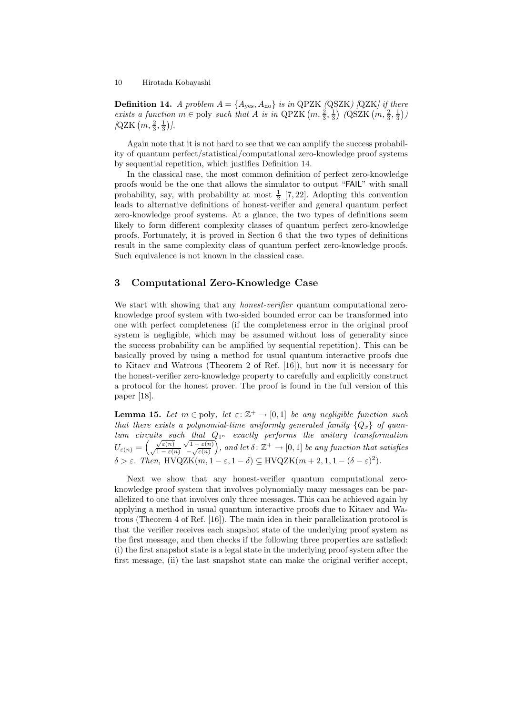**Definition 14.** A problem  $A = \{A_{\text{yes}}, A_{\text{no}}\}$  is in QPZK (QSZK) [QZK] if there exists a function  $m \in \text{poly}$  such that A is in QPZK  $\left(m, \frac{2}{3}, \frac{1}{3}\right)$  (QSZK  $\left(m, \frac{2}{3}, \frac{1}{3}\right)$ )  $\left[ QZK\left( m,\frac{2}{3},\frac{1}{3}\right) \right]$ .

Again note that it is not hard to see that we can amplify the success probability of quantum perfect/statistical/computational zero-knowledge proof systems by sequential repetition, which justifies Definition 14.

In the classical case, the most common definition of perfect zero-knowledge proofs would be the one that allows the simulator to output "FAIL" with small probability, say, with probability at most  $\frac{1}{2}$  [7, 22]. Adopting this convention leads to alternative definitions of honest-verifier and general quantum perfect zero-knowledge proof systems. At a glance, the two types of definitions seem likely to form different complexity classes of quantum perfect zero-knowledge proofs. Fortunately, it is proved in Section 6 that the two types of definitions result in the same complexity class of quantum perfect zero-knowledge proofs. Such equivalence is not known in the classical case.

## 3 Computational Zero-Knowledge Case

We start with showing that any *honest-verifier* quantum computational zeroknowledge proof system with two-sided bounded error can be transformed into one with perfect completeness (if the completeness error in the original proof system is negligible, which may be assumed without loss of generality since the success probability can be amplified by sequential repetition). This can be basically proved by using a method for usual quantum interactive proofs due to Kitaev and Watrous (Theorem 2 of Ref. [16]), but now it is necessary for the honest-verifier zero-knowledge property to carefully and explicitly construct a protocol for the honest prover. The proof is found in the full version of this paper [18].

**Lemma 15.** Let  $m \in \text{poly}$ , let  $\varepsilon: \mathbb{Z}^+ \to [0,1]$  be any negligible function such that there exists a polynomial-time uniformly generated family  ${Q_x}$  of quan $tum$  circuits such that  $Q_{1^n}$  exactly performs the unitary transformation  $U_{\varepsilon(n)} = \left(\frac{\sqrt{\varepsilon(n)}}{\sqrt{1-\varepsilon(n)}} \right)^{\sqrt{n}}$  $\sqrt{\frac{\varepsilon(n)}{1-\varepsilon(n)}} \sqrt{1-\varepsilon(n)}$  $\sqrt{\frac{\varepsilon(n)}}{1-\varepsilon(n)}$ ,  $\sqrt{\frac{1-\varepsilon(n)}{1-\varepsilon(n)}}$ , and let  $\delta: \mathbb{Z}^+ \to [0,1]$  be any function that satisfies  $\delta > \varepsilon$ . Then, HVQZK $(m, 1 - \varepsilon, 1 - \delta) \subseteq HVQZK(m + 2, 1, 1 - (\delta - \varepsilon)^2)$ .

Next we show that any honest-verifier quantum computational zeroknowledge proof system that involves polynomially many messages can be parallelized to one that involves only three messages. This can be achieved again by applying a method in usual quantum interactive proofs due to Kitaev and Watrous (Theorem 4 of Ref. [16]). The main idea in their parallelization protocol is that the verifier receives each snapshot state of the underlying proof system as the first message, and then checks if the following three properties are satisfied: (i) the first snapshot state is a legal state in the underlying proof system after the first message, (ii) the last snapshot state can make the original verifier accept,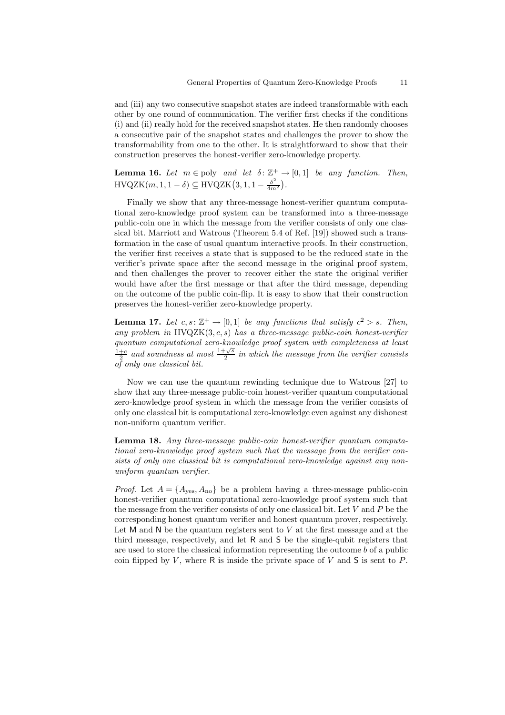and (iii) any two consecutive snapshot states are indeed transformable with each other by one round of communication. The verifier first checks if the conditions (i) and (ii) really hold for the received snapshot states. He then randomly chooses a consecutive pair of the snapshot states and challenges the prover to show the transformability from one to the other. It is straightforward to show that their construction preserves the honest-verifier zero-knowledge property.

**Lemma 16.** Let  $m \in \text{poly}$  and let  $\delta: \mathbb{Z}^+ \to [0,1]$  be any function. Then,  ${\rm HVQZK}(m,1,1-\delta) \subseteq {\rm HVQZK}(3,1,1-\frac{\delta^2}{4m})$  $\frac{\delta^2}{4m^2}\Big).$ 

Finally we show that any three-message honest-verifier quantum computational zero-knowledge proof system can be transformed into a three-message public-coin one in which the message from the verifier consists of only one classical bit. Marriott and Watrous (Theorem 5.4 of Ref. [19]) showed such a transformation in the case of usual quantum interactive proofs. In their construction, the verifier first receives a state that is supposed to be the reduced state in the verifier's private space after the second message in the original proof system, and then challenges the prover to recover either the state the original verifier would have after the first message or that after the third message, depending on the outcome of the public coin-flip. It is easy to show that their construction preserves the honest-verifier zero-knowledge property.

**Lemma 17.** Let  $c, s: \mathbb{Z}^+ \to [0, 1]$  be any functions that satisfy  $c^2 > s$ . Then, any problem in  $HVQZK(3, c, s)$  has a three-message public-coin honest-verifier quantum computational zero-knowledge proof system with completeness at least  $\frac{1+c}{2}$  and soundness at most  $\frac{1+\sqrt{s}}{2}$  $\frac{1}{2}^{\frac{1}{2}}$  in which the message from the verifier consists of only one classical bit.

Now we can use the quantum rewinding technique due to Watrous [27] to show that any three-message public-coin honest-verifier quantum computational zero-knowledge proof system in which the message from the verifier consists of only one classical bit is computational zero-knowledge even against any dishonest non-uniform quantum verifier.

Lemma 18. Any three-message public-coin honest-verifier quantum computational zero-knowledge proof system such that the message from the verifier consists of only one classical bit is computational zero-knowledge against any nonuniform quantum verifier.

*Proof.* Let  $A = \{A_{\text{yes}}, A_{\text{no}}\}$  be a problem having a three-message public-coin honest-verifier quantum computational zero-knowledge proof system such that the message from the verifier consists of only one classical bit. Let  $V$  and  $P$  be the corresponding honest quantum verifier and honest quantum prover, respectively. Let  $M$  and  $N$  be the quantum registers sent to  $V$  at the first message and at the third message, respectively, and let R and S be the single-qubit registers that are used to store the classical information representing the outcome b of a public coin flipped by  $V$ , where R is inside the private space of  $V$  and  $S$  is sent to  $P$ .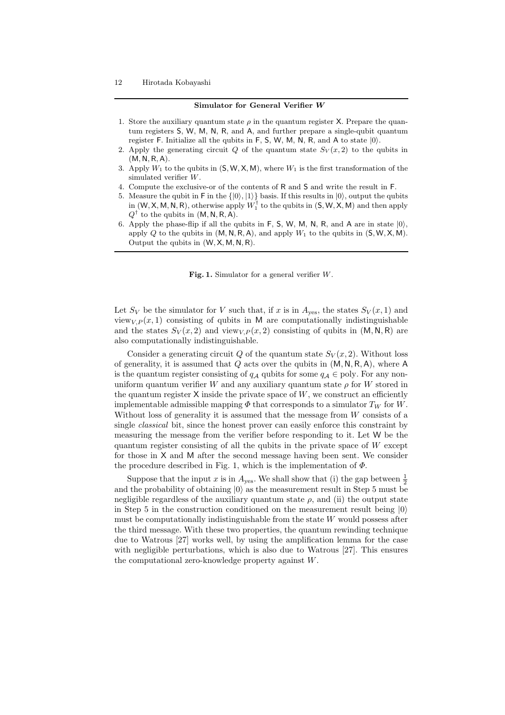#### Simulator for General Verifier W

- 1. Store the auxiliary quantum state  $\rho$  in the quantum register X. Prepare the quantum registers S, W, M, N, R, and A, and further prepare a single-qubit quantum register F. Initialize all the qubits in F, S, W, M, N, R, and A to state  $|0\rangle$ .
- 2. Apply the generating circuit Q of the quantum state  $S_V(x, 2)$  to the qubits in  $(M, N, R, A)$ .
- 3. Apply  $W_1$  to the qubits in  $(S, W, X, M)$ , where  $W_1$  is the first transformation of the simulated verifier W.
- 4. Compute the exclusive-or of the contents of R and S and write the result in F.
- 5. Measure the qubit in F in the  $\{|0\rangle, |1\rangle\}$  basis. If this results in  $|0\rangle$ , output the qubits in  $(W, X, M, N, R)$ , otherwise apply  $W_1^{\dagger}$  to the qubits in  $(S, W, X, M)$  and then apply  $Q^{\dagger}$  to the qubits in  $(M, N, R, A)$ .
- 6. Apply the phase-flip if all the qubits in  $F$ ,  $S$ ,  $W$ ,  $M$ ,  $N$ ,  $R$ , and  $A$  are in state  $|0\rangle$ , apply Q to the qubits in  $(M, N, R, A)$ , and apply  $W_1$  to the qubits in  $(S, W, X, M)$ . Output the qubits in  $(W, X, M, N, R)$ .

Fig. 1. Simulator for a general verifier  $W$ .

Let  $S_V$  be the simulator for V such that, if x is in  $A_{\text{ves}}$ , the states  $S_V(x, 1)$  and view<sub>V,P</sub> $(x, 1)$  consisting of qubits in M are computationally indistinguishable and the states  $S_V(x, 2)$  and view<sub>V, P</sub> $(x, 2)$  consisting of qubits in  $(M, N, R)$  are also computationally indistinguishable.

Consider a generating circuit Q of the quantum state  $S_V(x, 2)$ . Without loss of generality, it is assumed that  $Q$  acts over the qubits in  $(M, N, R, A)$ , where A is the quantum register consisting of  $q_A$  qubits for some  $q_A \in \text{poly}$ . For any nonuniform quantum verifier W and any auxiliary quantum state  $\rho$  for W stored in the quantum register  $X$  inside the private space of  $W$ , we construct an efficiently implementable admissible mapping  $\Phi$  that corresponds to a simulator  $T_W$  for W. Without loss of generality it is assumed that the message from W consists of a single *classical* bit, since the honest prover can easily enforce this constraint by measuring the message from the verifier before responding to it. Let W be the quantum register consisting of all the qubits in the private space of  $W$  except for those in X and M after the second message having been sent. We consider the procedure described in Fig. 1, which is the implementation of  $\Phi$ .

Suppose that the input x is in  $A_{\text{yes}}$ . We shall show that (i) the gap between  $\frac{1}{2}$ and the probability of obtaining  $|0\rangle$  as the measurement result in Step 5 must be negligible regardless of the auxiliary quantum state  $\rho$ , and (ii) the output state in Step 5 in the construction conditioned on the measurement result being  $|0\rangle$ must be computationally indistinguishable from the state  $W$  would possess after the third message. With these two properties, the quantum rewinding technique due to Watrous [27] works well, by using the amplification lemma for the case with negligible perturbations, which is also due to Watrous [27]. This ensures the computational zero-knowledge property against W.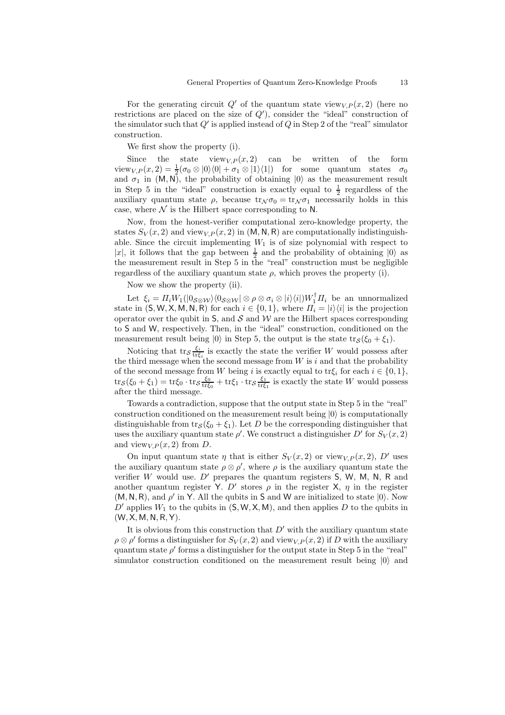For the generating circuit  $Q'$  of the quantum state view<sub>V,  $P(x, 2)$ </sub> (here no restrictions are placed on the size of Q′ ), consider the "ideal" construction of the simulator such that  $Q'$  is applied instead of  $Q$  in Step 2 of the "real" simulator construction.

We first show the property (i).

Since the state view<sub>V,  $P(x, 2)$ </sub> can be written of the form view<sub>V,P</sub> $(x, 2) = \frac{1}{2} (\sigma_0 \otimes |0\rangle\langle0| + \sigma_1 \otimes |1\rangle\langle1|)$  for some quantum states  $\sigma_0$ and  $\sigma_1$  in  $(M, N)$ , the probability of obtaining  $|0\rangle$  as the measurement result in Step 5 in the "ideal" construction is exactly equal to  $\frac{1}{2}$  regardless of the auxiliary quantum state  $\rho$ , because  $tr_N \sigma_0 = tr_N \sigma_1$  necessarily holds in this case, where  $\mathcal N$  is the Hilbert space corresponding to N.

Now, from the honest-verifier computational zero-knowledge property, the states  $S_V(x, 2)$  and view $_{V,P}(x, 2)$  in  $(M, N, R)$  are computationally indistinguishable. Since the circuit implementing  $W_1$  is of size polynomial with respect to |x|, it follows that the gap between  $\frac{1}{2}$  and the probability of obtaining  $|0\rangle$  as the measurement result in Step 5 in the "real" construction must be negligible regardless of the auxiliary quantum state  $\rho$ , which proves the property (i).

Now we show the property (ii).

Let  $\xi_i = \prod_i W_1(|0_{\mathcal{S}\otimes\mathcal{W}}\rangle\langle 0_{\mathcal{S}\otimes\mathcal{W}}| \otimes \rho \otimes \sigma_i \otimes |i\rangle\langle i|)W_1^{\mathsf{T}}\Pi_i$  be an unnormalized state in  $(S, W, X, M, N, R)$  for each  $i \in \{0, 1\}$ , where  $\Pi_i = |i\rangle\langle i|$  is the projection operator over the qubit in  $S$ , and  $S$  and  $W$  are the Hilbert spaces corresponding to S and W, respectively. Then, in the "ideal" construction, conditioned on the measurement result being  $|0\rangle$  in Step 5, the output is the state tr<sub>S</sub> $(\xi_0 + \xi_1)$ .

Noticing that  $\text{tr}_{\mathcal{S}} \frac{\xi_i}{\text{tr}\xi_i}$  is exactly the state the verifier W would possess after the third message when the second message from  $W$  is  $i$  and that the probability of the second message from W being i is exactly equal to  $\text{tr}\xi_i$  for each  $i \in \{0,1\}$ ,  $\text{tr}_{\mathcal{S}}(\xi_0 + \xi_1) = \text{tr}\xi_0 \cdot \text{tr}_{\mathcal{S}} \frac{\xi_0}{\text{tr}\xi_0} + \text{tr}\xi_1 \cdot \text{tr}_{\mathcal{S}} \frac{\xi_1}{\text{tr}\xi_1}$  is exactly the state W would possess after the third message.

Towards a contradiction, suppose that the output state in Step 5 in the "real" construction conditioned on the measurement result being  $|0\rangle$  is computationally distinguishable from  $\text{tr}_{\mathcal{S}}(\xi_0 + \xi_1)$ . Let D be the corresponding distinguisher that uses the auxiliary quantum state  $\rho'$ . We construct a distinguisher  $D'$  for  $S_V(x, 2)$ and view<sub>V  $P(x, 2)$ </sub> from D.

On input quantum state  $\eta$  that is either  $S_V(x, 2)$  or view $_{V,P}(x, 2)$ , D' uses the auxiliary quantum state  $\rho \otimes \rho'$ , where  $\rho$  is the auxiliary quantum state the verifier W would use.  $D'$  prepares the quantum registers S, W, M, N, R and another quantum register Y. D' stores  $\rho$  in the register X,  $\eta$  in the register  $(M, N, R)$ , and  $\rho'$  in Y. All the qubits in S and W are initialized to state  $|0\rangle$ . Now  $D'$  applies  $W_1$  to the qubits in  $(S, W, X, M)$ , and then applies D to the qubits in (W, X, M, N, R, Y).

It is obvious from this construction that  $D'$  with the auxiliary quantum state  $\rho \otimes \rho'$  forms a distinguisher for  $S_V(x, 2)$  and view $_{V,P}(x, 2)$  if D with the auxiliary quantum state  $\rho'$  forms a distinguisher for the output state in Step 5 in the "real" simulator construction conditioned on the measurement result being  $|0\rangle$  and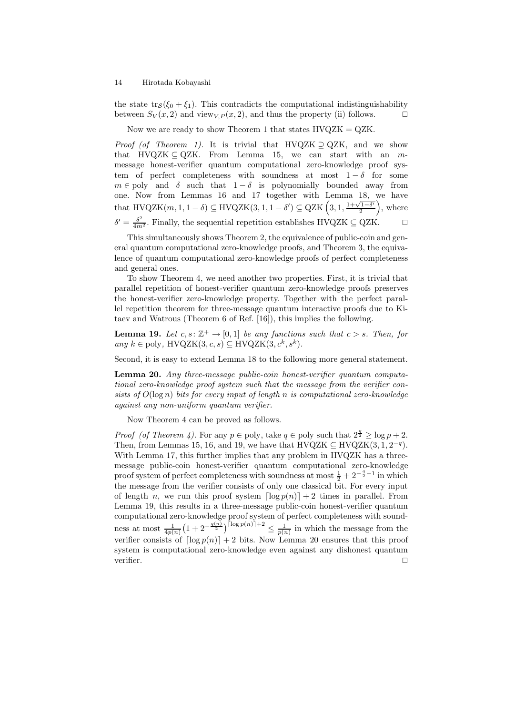the state tr<sub>S</sub>( $\xi_0 + \xi_1$ ). This contradicts the computational indistinguishability<br>between  $S_{\rm V}(x, 2)$  and view<sub> $V_{\rm R}(x, 2)$ </sub> and thus the property (ii) follows between  $S_V(x, 2)$  and view<sub>V, P</sub> $(x, 2)$ , and thus the property (ii) follows.

Now we are ready to show Theorem 1 that states  $HVQZK = QZK$ .

*Proof (of Theorem 1).* It is trivial that HVQZK  $\supset QZK$ , and we show that HVQZK  $\subset$  QZK. From Lemma 15, we can start with an  $m$ message honest-verifier quantum computational zero-knowledge proof system of perfect completeness with soundness at most  $1 - \delta$  for some  $m \in \text{poly}$  and  $\delta$  such that  $1 - \delta$  is polynomially bounded away from one. Now from Lemmas 16 and 17 together with Lemma 18, we have that  $HVQZK(m, 1, 1 - \delta) \subseteq HVQZK(3, 1, 1 - \delta') \subseteq QZK\left(3, 1, \frac{1+\sqrt{1-\delta'}}{2}\right)$  $\sqrt{\frac{1-\delta'}{2}}$ , where  $\delta' = \frac{\delta^2}{4m^2}$ . Finally, the sequential repetition establishes HVQZK  $\subseteq$  QZK. □

This simultaneously shows Theorem 2, the equivalence of public-coin and general quantum computational zero-knowledge proofs, and Theorem 3, the equivalence of quantum computational zero-knowledge proofs of perfect completeness and general ones.

To show Theorem 4, we need another two properties. First, it is trivial that parallel repetition of honest-verifier quantum zero-knowledge proofs preserves the honest-verifier zero-knowledge property. Together with the perfect parallel repetition theorem for three-message quantum interactive proofs due to Kitaev and Watrous (Theorem 6 of Ref. [16]), this implies the following.

**Lemma 19.** Let  $c, s: \mathbb{Z}^+ \to [0, 1]$  be any functions such that  $c > s$ . Then, for any  $k \in \text{poly}, \, \text{HVQZK}(3, c, s) \subseteq \text{HVQZK}(3, c^k, s^k).$ 

Second, it is easy to extend Lemma 18 to the following more general statement.

Lemma 20. Any three-message public-coin honest-verifier quantum computational zero-knowledge proof system such that the message from the verifier consists of  $O(\log n)$  bits for every input of length n is computational zero-knowledge against any non-uniform quantum verifier.

Now Theorem 4 can be proved as follows.

*Proof (of Theorem 4)*. For any  $p \in \text{poly}$ , take  $q \in \text{poly}$  such that  $2^{\frac{q}{2}} \ge \log p + 2$ . Then, from Lemmas 15, 16, and 19, we have that  $HVQZK \subseteq HVQZK(3, 1, 2^{-q})$ . With Lemma 17, this further implies that any problem in HVQZK has a threemessage public-coin honest-verifier quantum computational zero-knowledge proof system of perfect completeness with soundness at most  $\frac{1}{2} + 2^{-\frac{q}{2}-1}$  in which the message from the verifier consists of only one classical bit. For every input of length n, we run this proof system  $\lceil \log p(n) \rceil + 2$  times in parallel. From Lemma 19, this results in a three-message public-coin honest-verifier quantum computational zero-knowledge proof system of perfect completeness with soundness at most  $\frac{1}{4p(n)}(1+2^{-\frac{q(n)}{2}})^{\lceil \log p(n) \rceil+2} \leq \frac{1}{p(n)}$  in which the message from the verifier consists of  $\lceil \log p(n) \rceil + 2$  bits. Now Lemma 20 ensures that this proof system is computational zero-knowledge even against any dishonest quantum verifier. □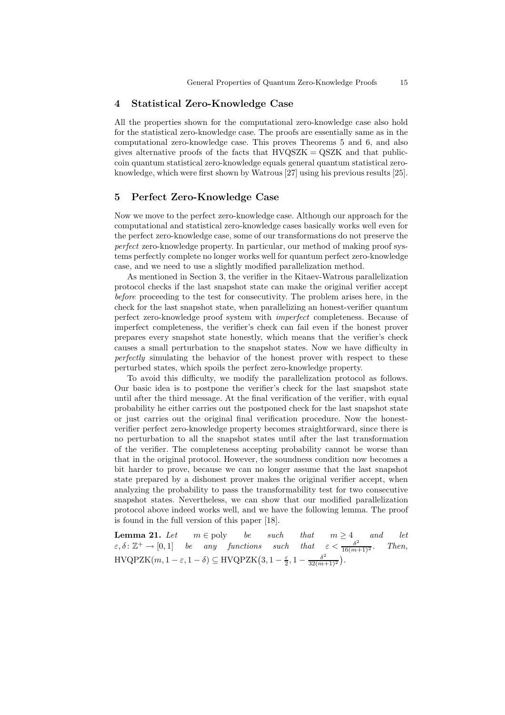# 4 Statistical Zero-Knowledge Case

All the properties shown for the computational zero-knowledge case also hold for the statistical zero-knowledge case. The proofs are essentially same as in the computational zero-knowledge case. This proves Theorems 5 and 6, and also gives alternative proofs of the facts that  $HVQSZK = QSZK$  and that publiccoin quantum statistical zero-knowledge equals general quantum statistical zeroknowledge, which were first shown by Watrous [27] using his previous results [25].

## 5 Perfect Zero-Knowledge Case

Now we move to the perfect zero-knowledge case. Although our approach for the computational and statistical zero-knowledge cases basically works well even for the perfect zero-knowledge case, some of our transformations do not preserve the perfect zero-knowledge property. In particular, our method of making proof systems perfectly complete no longer works well for quantum perfect zero-knowledge case, and we need to use a slightly modified parallelization method.

As mentioned in Section 3, the verifier in the Kitaev-Watrous parallelization protocol checks if the last snapshot state can make the original verifier accept before proceeding to the test for consecutivity. The problem arises here, in the check for the last snapshot state, when parallelizing an honest-verifier quantum perfect zero-knowledge proof system with imperfect completeness. Because of imperfect completeness, the verifier's check can fail even if the honest prover prepares every snapshot state honestly, which means that the verifier's check causes a small perturbation to the snapshot states. Now we have difficulty in perfectly simulating the behavior of the honest prover with respect to these perturbed states, which spoils the perfect zero-knowledge property.

To avoid this difficulty, we modify the parallelization protocol as follows. Our basic idea is to postpone the verifier's check for the last snapshot state until after the third message. At the final verification of the verifier, with equal probability he either carries out the postponed check for the last snapshot state or just carries out the original final verification procedure. Now the honestverifier perfect zero-knowledge property becomes straightforward, since there is no perturbation to all the snapshot states until after the last transformation of the verifier. The completeness accepting probability cannot be worse than that in the original protocol. However, the soundness condition now becomes a bit harder to prove, because we can no longer assume that the last snapshot state prepared by a dishonest prover makes the original verifier accept, when analyzing the probability to pass the transformability test for two consecutive snapshot states. Nevertheless, we can show that our modified parallelization protocol above indeed works well, and we have the following lemma. The proof is found in the full version of this paper [18].

**Lemma 21.** Let  $m \in \text{poly}$  be such that  $m \geq 4$  and let  $\varepsilon, \delta: \mathbb{Z}^+ \to [0, 1]$  be any functions such that  $\varepsilon < \frac{\delta^2}{16(m+1)^2}$ . Then,  $HVQPZK(m, 1 - \varepsilon, 1 - \delta) \subseteq HVQPZK(3, 1 - \frac{\varepsilon}{2}, 1 - \frac{\delta^2}{32(m-\varepsilon)})$  $\frac{\delta^2}{32(m+1)^2}$ .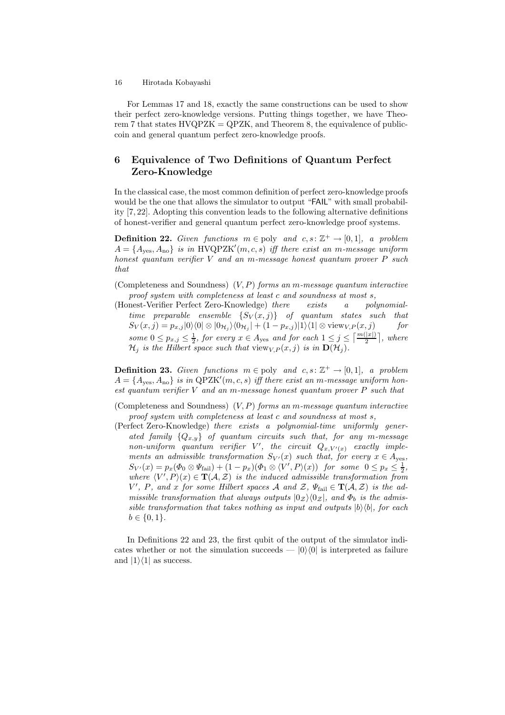For Lemmas 17 and 18, exactly the same constructions can be used to show their perfect zero-knowledge versions. Putting things together, we have Theorem 7 that states  $HVQPZK = QPZK$ , and Theorem 8, the equivalence of publiccoin and general quantum perfect zero-knowledge proofs.

# 6 Equivalence of Two Definitions of Quantum Perfect Zero-Knowledge

In the classical case, the most common definition of perfect zero-knowledge proofs would be the one that allows the simulator to output "**FAIL**" with small probability [7, 22]. Adopting this convention leads to the following alternative definitions of honest-verifier and general quantum perfect zero-knowledge proof systems.

**Definition 22.** Given functions  $m \in \text{poly}$  and  $c, s \colon \mathbb{Z}^+ \to [0, 1]$ , a problem  $A = \{A_{\text{yes}}, A_{\text{no}}\}$  is in HVQPZK' $(m, c, s)$  iff there exist an m-message uniform honest quantum verifier  $V$  and an m-message honest quantum prover  $P$  such that

(Completeness and Soundness)  $(V, P)$  forms an m-message quantum interactive proof system with completeness at least c and soundness at most s,

(Honest-Verifier Perfect Zero-Knowledge) there exists a polynomialtime preparable ensemble  $\{S_V(x,j)\}\$  of quantum states such that  $S_V(x,j) = p_{x,j}|0\rangle\langle 0| \otimes |0_{\mathcal{H}_j}\rangle\langle 0_{\mathcal{H}_j}| + (1 - p_{x,j})|1\rangle\langle 1| \otimes \text{view}_{V,P}(x,j)$  for some  $0 \leq p_{x,j} \leq \frac{1}{2}$ , for every  $x \in A_{\text{yes}}$  and for each  $1 \leq j \leq \lceil \frac{m(|x|)}{2} \rceil$ , where  $\mathcal{H}_j$  is the Hilbert space such that view<sub>V,P</sub>(x, j) is in  $\mathbf{D}(\mathcal{H}_j)$ .

**Definition 23.** Given functions  $m \in \text{poly}$  and  $c, s \colon \mathbb{Z}^+ \to [0, 1]$ , a problem  $A = \{A_{\text{yes}}, A_{\text{no}}\}$  is in QPZK' $(m, c, s)$  iff there exist an m-message uniform honest quantum verifier V and an m-message honest quantum prover P such that

- (Completeness and Soundness)  $(V, P)$  forms an m-message quantum interactive proof system with completeness at least c and soundness at most s,
- (Perfect Zero-Knowledge) there exists a polynomial-time uniformly generated family  ${Q_{x,y}}$  of quantum circuits such that, for any m-message non-uniform quantum verifier  $V'$ , the circuit  $Q_{x,V'(x)}$  exactly implements an admissible transformation  $S_{V'}(x)$  such that, for every  $x \in A_{\text{yes}}$ ,  $S_{V'}(x) = p_x(\Phi_0 \otimes \Psi_{\text{fail}}) + (1 - p_x)(\Phi_1 \otimes \langle V', P \rangle(x)) \text{ for some } 0 \leq p_x \leq \frac{1}{2},$ where  $\langle V', P \rangle (x) \in {\bf T}(\mathcal{A}, \mathcal{Z})$  is the induced admissible transformation from  $V', P,$  and x for some Hilbert spaces A and Z,  $\Psi_{\text{fail}} \in \mathbf{T}(\mathcal{A}, \mathcal{Z})$  is the admissible transformation that always outputs  $|0_z\rangle\langle0_z|$ , and  $\Phi_b$  is the admissible transformation that takes nothing as input and outputs  $|b\rangle\langle b|$ , for each  $b \in \{0, 1\}.$

In Definitions 22 and 23, the first qubit of the output of the simulator indicates whether or not the simulation succeeds —  $|0\rangle\langle 0|$  is interpreted as failure and  $|1\rangle\langle 1|$  as success.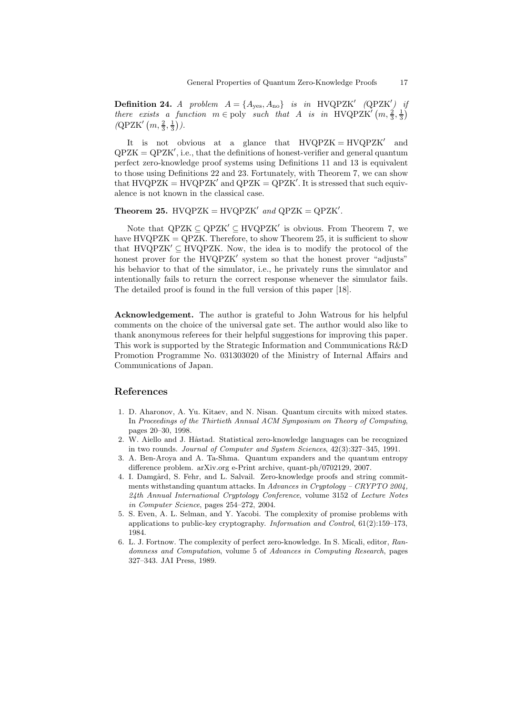**Definition 24.** A problem  $A = \{A_{\text{yes}}, A_{\text{no}}\}$  is in HVQPZK' (QPZK') if there exists a function  $m \in \text{poly}$  such that A is in HVQPZK'  $(m, \frac{2}{3}, \frac{1}{3})$  $(QPZK'\left(m,\frac{2}{3},\frac{1}{3}\right)).$ 

It is not obvious at a glance that  $HVQPZK = HVQPZK'$  and QPZK = QPZK′ , i.e., that the definitions of honest-verifier and general quantum perfect zero-knowledge proof systems using Definitions 11 and 13 is equivalent to those using Definitions 22 and 23. Fortunately, with Theorem 7, we can show that  $HVQPZK = HVQPZK'$  and  $QPZK = QPZK'$ . It is stressed that such equivalence is not known in the classical case.

### **Theorem 25.** HVQPZK = HVQPZK' and  $QPZK = QPZK'$ .

Note that  $\mathbf{Q} \mathbf{P} \mathbf{Z} \mathbf{K} \subseteq \mathbf{Q} \mathbf{P} \mathbf{Z} \mathbf{K}' \subseteq \mathbf{H} \mathbf{V} \mathbf{Q} \mathbf{P} \mathbf{Z} \mathbf{K}'$  is obvious. From Theorem 7, we have  $HVQPZK = QPZK$ . Therefore, to show Theorem 25, it is sufficient to show that  $HVQPZK' \subseteq HVQPZK$ . Now, the idea is to modify the protocol of the honest prover for the HVQPZK' system so that the honest prover "adjusts" his behavior to that of the simulator, i.e., he privately runs the simulator and intentionally fails to return the correct response whenever the simulator fails. The detailed proof is found in the full version of this paper [18].

Acknowledgement. The author is grateful to John Watrous for his helpful comments on the choice of the universal gate set. The author would also like to thank anonymous referees for their helpful suggestions for improving this paper. This work is supported by the Strategic Information and Communications R&D Promotion Programme No. 031303020 of the Ministry of Internal Affairs and Communications of Japan.

## References

- 1. D. Aharonov, A. Yu. Kitaev, and N. Nisan. Quantum circuits with mixed states. In Proceedings of the Thirtieth Annual ACM Symposium on Theory of Computing, pages 20–30, 1998.
- 2. W. Aiello and J. Håstad. Statistical zero-knowledge languages can be recognized in two rounds. Journal of Computer and System Sciences, 42(3):327–345, 1991.
- 3. A. Ben-Aroya and A. Ta-Shma. Quantum expanders and the quantum entropy difference problem. arXiv.org e-Print archive, quant-ph/0702129, 2007.
- 4. I. Damgård, S. Fehr, and L. Salvail. Zero-knowledge proofs and string commitments withstanding quantum attacks. In Advances in Cryptology – CRYPTO 2004, 24th Annual International Cryptology Conference, volume 3152 of Lecture Notes in Computer Science, pages 254–272, 2004.
- 5. S. Even, A. L. Selman, and Y. Yacobi. The complexity of promise problems with applications to public-key cryptography. Information and Control, 61(2):159–173, 1984.
- 6. L. J. Fortnow. The complexity of perfect zero-knowledge. In S. Micali, editor, Randomness and Computation, volume 5 of Advances in Computing Research, pages 327–343. JAI Press, 1989.